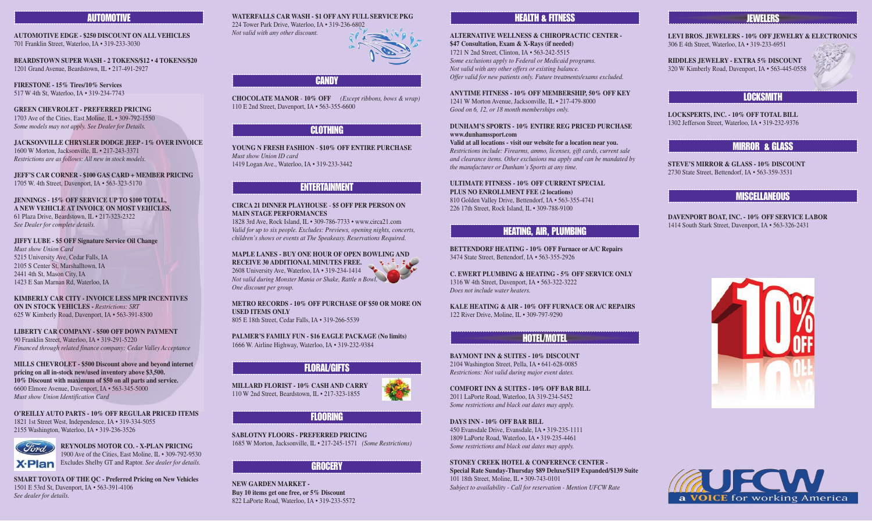#### AUTOMOTIVE

**AUTOMOTIVE EDGE - \$250 DISCOUNT ON ALL VEHICLES** 701 Franklin Street, Waterloo, IA • 319-233-3030

**BEARDSTOWN SUPER WASH - 2 TOKENS/\$12 • 4 TOKENS/\$20** 1201 Grand Avenue, Beardstown, IL • 217-491-2927

**FIRESTONE - 15% Tires/10% Services** 517 W 4th St, Waterloo, IA • 319-234-7743

**GREEN CHEVROLET - PREFERRED PRICING** 1703 Ave of the Cities, East Moline, IL • 309-792-1550 *Some models may not apply. See Dealer for Details.*

**JACKSONVILLE CHRYSLER DODGE JEEP - 1% OVER INVOICE** 1600 W Morton, Jacksonville, IL • 217-243-3371 *Restrictions are as follows: All new in stock models.*

**JEFF'S CAR CORNER - \$100 GAS CARD + MEMBER PRICING** 1705 W. 4th Street, Davenport, IA • 563-323-5170

**JENNINGS - 15% OFF SERVICE UP TO \$100 TOTAL, A NEW VEHICLE AT INVOICE ON MOST VEHICLES,**  61 Plaza Drive, Beardstown, IL • 217-323-2322 *See Dealer for complete details.*

**JIFFY LUBE - \$5 OFF Signature Service Oil Change**

*Must show Union Card* 5215 University Ave, Cedar Falls, IA 2105 S Center St, Marshalltown, IA 2441 4th St, Mason City, IA 1423 E San Marnan Rd, Waterloo, IA

**KIMBERLY CAR CITY - INVOICE LESS MPR INCENTIVES ON IN STOCK VEHICLES -** *Restrictions: SRT* 625 W Kimberly Road, Davenport, IA • 563-391-8300

**LIBERTY CAR COMPANY - \$500 OFF DOWN PAYMENT** 90 Franklin Street, Waterloo, IA • 319-291-5220 *Financed through related finance company: Cedar Valley Acceptance*

**MILLS CHEVROLET - \$500 Discount above and beyond internet pricing on all in-stock new/used inventory above \$3,500. 10% Discount with maximum of \$50 on all parts and service.** 6600 Elmore Avenue, Davenport, IA • 563-345-5000 *Must show Union Identification Card*

**O'REILLY AUTO PARTS - 10% OFF REGULAR PRICED ITEMS** 1821 1st Street West, Independence, IA • 319-334-5055 2155 Washington, Waterloo, IA • 319-236-3526



**REYNOLDS MOTOR CO. - X-PLAN PRICING** 1900 Ave of the Cities, East Moline, IL • 309-792-9530 Excludes Shelby GT and Raptor. *See dealer for details.*

**SMART TOYOTA OF THE QC - Preferred Pricing on New Vehicles** 1501 E 53rd St, Davenport, IA • 563-391-4106 *See dealer for details.*

**WATERFALLS CAR WASH - \$1 OFF ANY FULL SERVICE PKG** 224 Tower Park Drive, Waterloo, IA • 319-236-6802 *Not valid with any other discount.*



#### **CANDY**

**CHOCOLATE MANOR** - **10% OFF** *(Except ribbons, bows & wrap)* 110 E 2nd Street, Davenport, IA • 563-355-6600

#### CLOTHING

**YOUNG N FRESH FASHION** - **\$10% OFF ENTIRE PURCHASE** *Must show Union ID card* 1419 Logan Ave., Waterloo, IA • 319-233-3442

#### ENTERTAINMENT

**CIRCA 21 DINNER PLAYHOUSE** - **\$5 OFF PER PERSON ON MAIN STAGE PERFORMANCES** 1828 3rd Ave, Rock Island, IL • 309-786-7733 • www.circa21.com *Valid for up to six people. Excludes: Previews, opening nights, concerts, children's shows or events at The Speakeasy. Reservations Required.*

**MAPLE LANES - BUY ONE HOUR OF OPEN BOWLING AND RECEIVE 30 ADDITIONAL MINUTES FREE.**  l Vall 2608 University Ave, Waterloo, IA • 319-234-1414 *Not valid during Monster Mania or Shake, Rattle n Bowl. One discount per group.*

**METRO RECORDS - 10% OFF PURCHASE OF \$50 OR MORE ON USED ITEMS ONLY**  805 E 18th Street, Cedar Falls, IA • 319-266-5539

**PALMER'S FAMILY FUN - \$16 EAGLE PACKAGE (No limits)**  1666 W. Airline Highway, Waterloo, IA • 319-232-9384

#### FLORAL/GIFTS

**MILLARD FLORIST - 10% CASH AND CARRY** 110 W 2nd Street, Beardstown, IL • 217-323-1855



#### FLOORING

**SABLOTNY FLOORS - PREFERRED PRICING**  1685 W Morton, Jacksonville, IL • 217-245-1571 *(Some Restrictions)*

#### **GROCERY**

**NEW GARDEN MARKET - Buy 10 items get one free, or 5% Discount** 822 LaPorte Road, Waterloo, IA • 319-233-5572

#### HEALTH & FITNESS

**ALTERNATIVE WELLNESS & CHIROPRACTIC CENTER - \$47 Consultation, Exam & X-Rays (if needed)** 1721 N 2nd Street, Clinton, IA • 563-242-5515 *Some exclusions apply to Federal or Medicaid programs. Not valid with any other offers or existing balance. Offer valid for new patients only. Future treatments/exams excluded.*

**ANYTIME FITNESS - 10% OFF MEMBERSHIP, 50% OFF KEY** 1241 W Morton Avenue, Jacksonville, IL • 217-479-8000

*Good on 6, 12, or 18 month memberships only.* 

**DUNHAM'S SPORTS - 10% ENTIRE REG PRICED PURCHASE www.dunhamssport.com Valid at all locations - visit our website for a location near you.** *Restrictions include: Firearms, ammo, licenses, gift cards, current sale and clearance items. Other exclusions ma apply and can be mandated by the manufacturer or Dunham's Sports at any time.*

**ULTIMATE FITNESS - 10% OFF CURRENT SPECIAL PLUS NO ENROLLMENT FEE (2 locations)** 810 Golden Valley Drive, Bettendorf, IA • 563-355-4741 226 17th Street, Rock Island, IL • 309-788-9100

#### HEATING, AIR, PLUMBING

**BETTENDORF HEATING - 10% OFF Furnace or A/C Repairs** 3474 State Street, Bettendorf, IA • 563-355-2926

**C. EWERT PLUMBING & HEATING - 5% OFF SERVICE ONLY** 1316 W 4th Street, Davenport, IA • 563-322-3222 *Does not include water heaters.*

**KALE HEATING & AIR - 10% OFF FURNACE OR A/C REPAIRS** 122 River Drive, Moline, IL • 309-797-9290

#### HOTEL/MOTEL

**BAYMONT INN & SUITES - 10% DISCOUNT** 2104 Washington Street, Pella, IA • 641-628-0085 *Restrictions: Not valid during major event dates.*

**COMFORT INN & SUITES - 10% OFF BAR BILL** 2011 LaPorte Road, Waterloo, IA 319-234-5452 *Some restrictions and black out dates may apply.*

**DAYS INN - 10% OFF BAR BILL**

450 Evansdale Drive, Evansdale, IA • 319-235-1111 1809 LaPorte Road, Waterloo, IA • 319-235-4461 *Some restrictions and black out dates may apply.*

**STONEY CREEK HOTEL & CONFERENCE CENTER -** 

**Special Rate Sunday-Thursday \$89 Deluxe/\$119 Expanded/\$139 Suite** 101 18th Street, Moline, IL • 309-743-0101 *Subject to availability - Call for reservation - Mention UFCW Rate*

#### **JEWELERS**

**LEVI BROS. JEWELERS - 10% OFF JEWELRY & ELECTRONICS** 306 E 4th Street, Waterloo, IA • 319-233-6951

**RIDDLES JEWELRY - EXTRA 5% DISCOUNT** 320 W Kimberly Road, Davenport, IA • 563-445-0558



#### LOCKSMITH

**LOCKSPERTS, INC. - 10% OFF TOTAL BILL** 1302 Jefferson Street, Waterloo, IA • 319-232-9376

#### MIRROR & GLASS

**STEVE'S MIRROR & GLASS - 10% DISCOUNT** 2730 State Street, Bettendorf, IA • 563-359-3531

#### MISCELLANEOUS

**DAVENPORT BOAT, INC. - 10% OFF SERVICE LABOR** 1414 South Stark Street, Davenport, IA • 563-326-2431